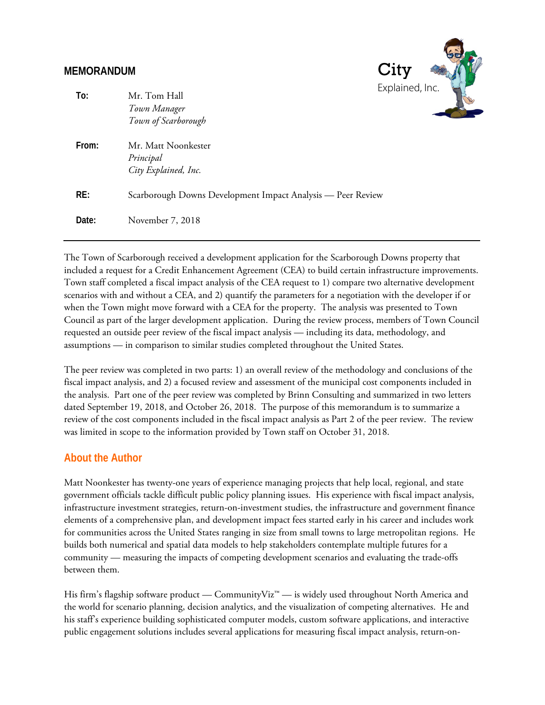#### **MEMORANDUM**



| To:   | Mr. Tom Hall<br>Town Manager<br>Town of Scarborough         | LAPIQILICU, ILIC. |
|-------|-------------------------------------------------------------|-------------------|
| From: | Mr. Matt Noonkester<br>Principal<br>City Explained, Inc.    |                   |
| RE:   | Scarborough Downs Development Impact Analysis - Peer Review |                   |
| Date: | November 7, 2018                                            |                   |

The Town of Scarborough received a development application for the Scarborough Downs property that included a request for a Credit Enhancement Agreement (CEA) to build certain infrastructure improvements. Town staff completed a fiscal impact analysis of the CEA request to 1) compare two alternative development scenarios with and without a CEA, and 2) quantify the parameters for a negotiation with the developer if or when the Town might move forward with a CEA for the property. The analysis was presented to Town Council as part of the larger development application. During the review process, members of Town Council requested an outside peer review of the fiscal impact analysis — including its data, methodology, and assumptions — in comparison to similar studies completed throughout the United States.

The peer review was completed in two parts: 1) an overall review of the methodology and conclusions of the fiscal impact analysis, and 2) a focused review and assessment of the municipal cost components included in the analysis. Part one of the peer review was completed by Brinn Consulting and summarized in two letters dated September 19, 2018, and October 26, 2018. The purpose of this memorandum is to summarize a review of the cost components included in the fiscal impact analysis as Part 2 of the peer review. The review was limited in scope to the information provided by Town staff on October 31, 2018.

#### **About the Author**

Matt Noonkester has twenty-one years of experience managing projects that help local, regional, and state government officials tackle difficult public policy planning issues. His experience with fiscal impact analysis, infrastructure investment strategies, return-on-investment studies, the infrastructure and government finance elements of a comprehensive plan, and development impact fees started early in his career and includes work for communities across the United States ranging in size from small towns to large metropolitan regions. He builds both numerical and spatial data models to help stakeholders contemplate multiple futures for a community — measuring the impacts of competing development scenarios and evaluating the trade-offs between them.

His firm's flagship software product — CommunityViz<sup>™</sup> — is widely used throughout North America and the world for scenario planning, decision analytics, and the visualization of competing alternatives. He and his staff's experience building sophisticated computer models, custom software applications, and interactive public engagement solutions includes several applications for measuring fiscal impact analysis, return-on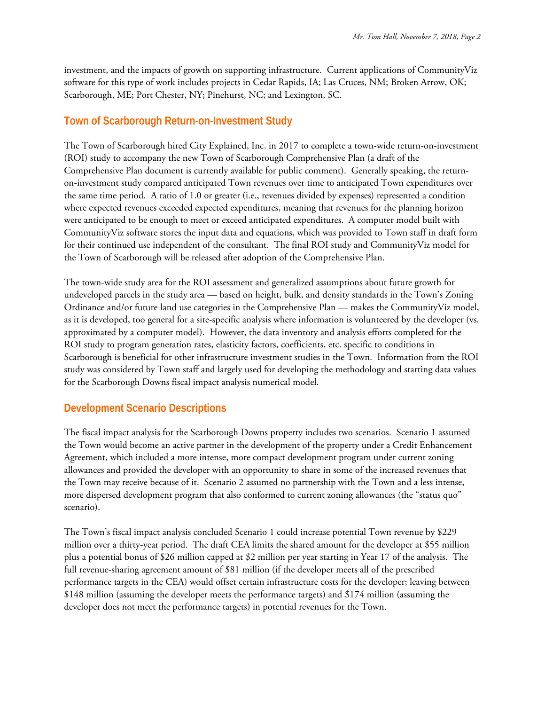investment, and the impacts of growth on supporting infrastructure. Current applications of CommunityViz software for this type of work includes projects in Cedar Rapids, IA; Las Cruces, NM; Broken Arrow, OK; Scarborough, ME; Port Chester, NY; Pinehurst, NC; and Lexington, SC.

#### **Town of Scarborough Return-on-Investment Study**

The Town of Scarborough hired City Explained, Inc. in 2017 to complete a town-wide return-on-investment (ROI) study to accompany the new Town of Scarborough Comprehensive Plan (a draft of the Comprehensive Plan document is currently available for public comment). Generally speaking, the returnon-investment study compared anticipated Town revenues over time to anticipated Town expenditures over the same time period. A ratio of 1.0 or greater (i.e., revenues divided by expenses) represented a condition where expected revenues exceeded expected expenditures, meaning that revenues for the planning horizon were anticipated to be enough to meet or exceed anticipated expenditures. A computer model built with CommunityViz software stores the input data and equations, which was provided to Town staff in draft form for their continued use independent of the consultant. The final ROI study and CommunityViz model for the Town of Scarborough will be released after adoption of the Comprehensive Plan.

The town-wide study area for the ROI assessment and generalized assumptions about future growth for undeveloped parcels in the study area — based on height, bulk, and density standards in the Town's Zoning Ordinance and/or future land use categories in the Comprehensive Plan — makes the CommunityViz model, as it is developed, too general for a site-specific analysis where information is volunteered by the developer (vs. approximated by a computer model). However, the data inventory and analysis efforts completed for the ROI study to program generation rates, elasticity factors, coefficients, etc. specific to conditions in Scarborough is beneficial for other infrastructure investment studies in the Town. Information from the ROI study was considered by Town staff and largely used for developing the methodology and starting data values for the Scarborough Downs fiscal impact analysis numerical model.

# **Development Scenario Descriptions**

The fiscal impact analysis for the Scarborough Downs property includes two scenarios. Scenario 1 assumed the Town would become an active partner in the development of the property under a Credit Enhancement Agreement, which included a more intense, more compact development program under current zoning allowances and provided the developer with an opportunity to share in some of the increased revenues that the Town may receive because of it. Scenario 2 assumed no partnership with the Town and a less intense, more dispersed development program that also conformed to current zoning allowances (the "status quo" scenario).

The Town's fiscal impact analysis concluded Scenario 1 could increase potential Town revenue by \$229 million over a thirty-year period. The draft CEA limits the shared amount for the developer at \$55 million plus a potential bonus of \$26 million capped at \$2 million per year starting in Year 17 of the analysis. The full revenue-sharing agreement amount of \$81 million (if the developer meets all of the prescribed performance targets in the CEA) would offset certain infrastructure costs for the developer; leaving between \$148 million (assuming the developer meets the performance targets) and \$174 million (assuming the developer does not meet the performance targets) in potential revenues for the Town.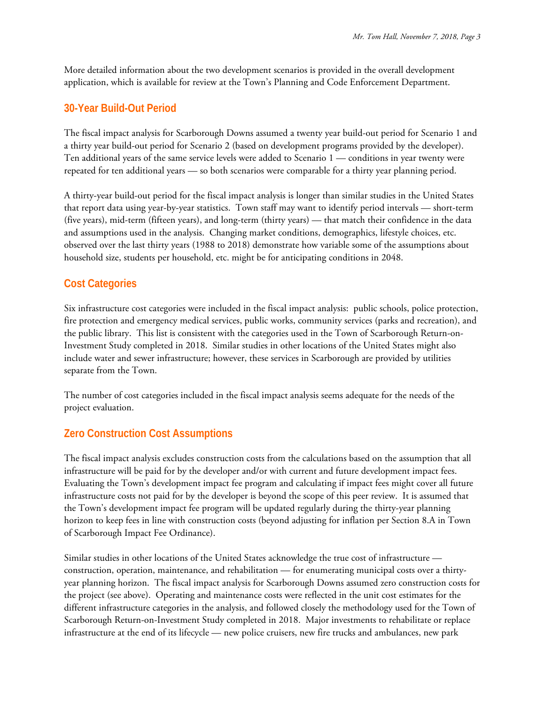More detailed information about the two development scenarios is provided in the overall development application, which is available for review at the Town's Planning and Code Enforcement Department.

#### **30-Year Build-Out Period**

The fiscal impact analysis for Scarborough Downs assumed a twenty year build-out period for Scenario 1 and a thirty year build-out period for Scenario 2 (based on development programs provided by the developer). Ten additional years of the same service levels were added to Scenario 1 — conditions in year twenty were repeated for ten additional years — so both scenarios were comparable for a thirty year planning period.

A thirty-year build-out period for the fiscal impact analysis is longer than similar studies in the United States that report data using year-by-year statistics. Town staff may want to identify period intervals — short-term (five years), mid-term (fifteen years), and long-term (thirty years) — that match their confidence in the data and assumptions used in the analysis. Changing market conditions, demographics, lifestyle choices, etc. observed over the last thirty years (1988 to 2018) demonstrate how variable some of the assumptions about household size, students per household, etc. might be for anticipating conditions in 2048.

## **Cost Categories**

Six infrastructure cost categories were included in the fiscal impact analysis: public schools, police protection, fire protection and emergency medical services, public works, community services (parks and recreation), and the public library. This list is consistent with the categories used in the Town of Scarborough Return-on-Investment Study completed in 2018. Similar studies in other locations of the United States might also include water and sewer infrastructure; however, these services in Scarborough are provided by utilities separate from the Town.

The number of cost categories included in the fiscal impact analysis seems adequate for the needs of the project evaluation.

### **Zero Construction Cost Assumptions**

The fiscal impact analysis excludes construction costs from the calculations based on the assumption that all infrastructure will be paid for by the developer and/or with current and future development impact fees. Evaluating the Town's development impact fee program and calculating if impact fees might cover all future infrastructure costs not paid for by the developer is beyond the scope of this peer review. It is assumed that the Town's development impact fee program will be updated regularly during the thirty-year planning horizon to keep fees in line with construction costs (beyond adjusting for inflation per Section 8.A in Town of Scarborough Impact Fee Ordinance).

Similar studies in other locations of the United States acknowledge the true cost of infrastructure construction, operation, maintenance, and rehabilitation — for enumerating municipal costs over a thirtyyear planning horizon. The fiscal impact analysis for Scarborough Downs assumed zero construction costs for the project (see above). Operating and maintenance costs were reflected in the unit cost estimates for the different infrastructure categories in the analysis, and followed closely the methodology used for the Town of Scarborough Return-on-Investment Study completed in 2018. Major investments to rehabilitate or replace infrastructure at the end of its lifecycle — new police cruisers, new fire trucks and ambulances, new park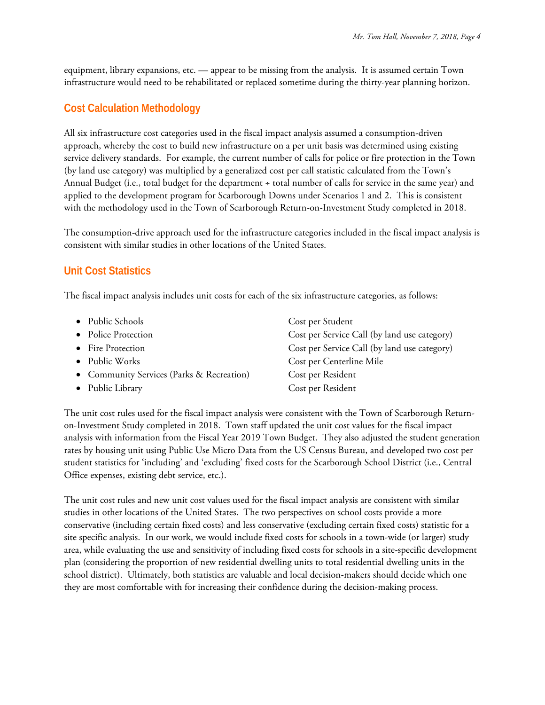equipment, library expansions, etc. — appear to be missing from the analysis. It is assumed certain Town infrastructure would need to be rehabilitated or replaced sometime during the thirty-year planning horizon.

## **Cost Calculation Methodology**

All six infrastructure cost categories used in the fiscal impact analysis assumed a consumption-driven approach, whereby the cost to build new infrastructure on a per unit basis was determined using existing service delivery standards. For example, the current number of calls for police or fire protection in the Town (by land use category) was multiplied by a generalized cost per call statistic calculated from the Town's Annual Budget (i.e., total budget for the department ÷ total number of calls for service in the same year) and applied to the development program for Scarborough Downs under Scenarios 1 and 2. This is consistent with the methodology used in the Town of Scarborough Return-on-Investment Study completed in 2018.

The consumption-drive approach used for the infrastructure categories included in the fiscal impact analysis is consistent with similar studies in other locations of the United States.

### **Unit Cost Statistics**

The fiscal impact analysis includes unit costs for each of the six infrastructure categories, as follows:

| • Public Schools                          | Cost per Student                             |
|-------------------------------------------|----------------------------------------------|
| • Police Protection                       | Cost per Service Call (by land use category) |
| • Fire Protection                         | Cost per Service Call (by land use category) |
| • Public Works                            | Cost per Centerline Mile                     |
| • Community Services (Parks & Recreation) | Cost per Resident                            |
| • Public Library                          | Cost per Resident                            |

The unit cost rules used for the fiscal impact analysis were consistent with the Town of Scarborough Returnon-Investment Study completed in 2018. Town staff updated the unit cost values for the fiscal impact analysis with information from the Fiscal Year 2019 Town Budget. They also adjusted the student generation rates by housing unit using Public Use Micro Data from the US Census Bureau, and developed two cost per student statistics for 'including' and 'excluding' fixed costs for the Scarborough School District (i.e., Central Office expenses, existing debt service, etc.).

The unit cost rules and new unit cost values used for the fiscal impact analysis are consistent with similar studies in other locations of the United States. The two perspectives on school costs provide a more conservative (including certain fixed costs) and less conservative (excluding certain fixed costs) statistic for a site specific analysis. In our work, we would include fixed costs for schools in a town-wide (or larger) study area, while evaluating the use and sensitivity of including fixed costs for schools in a site-specific development plan (considering the proportion of new residential dwelling units to total residential dwelling units in the school district). Ultimately, both statistics are valuable and local decision-makers should decide which one they are most comfortable with for increasing their confidence during the decision-making process.